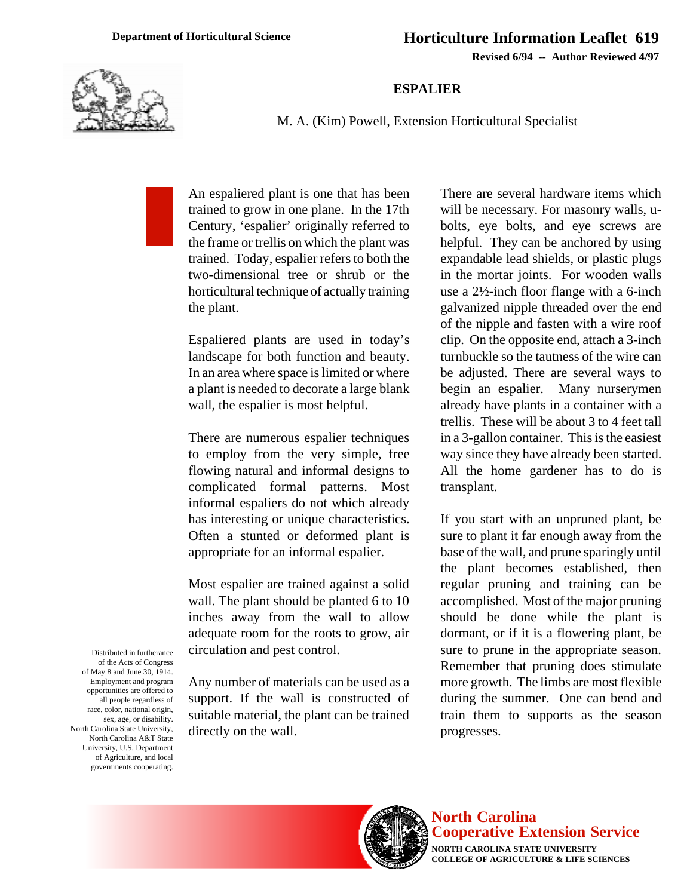**Revised 6/94 -- Author Reviewed 4/97**

## **ESPALIER**



M. A. (Kim) Powell, Extension Horticultural Specialist

An espaliered plant is one that has been trained to grow in one plane. In the 17th Century, 'espalier' originally referred to the frame or trellis on which the plant was trained. Today, espalier refers to both the two-dimensional tree or shrub or the horticultural technique of actually training the plant.

Espaliered plants are used in today's landscape for both function and beauty. In an area where space is limited or where a plant is needed to decorate a large blank wall, the espalier is most helpful.

There are numerous espalier techniques to employ from the very simple, free flowing natural and informal designs to complicated formal patterns. Most informal espaliers do not which already has interesting or unique characteristics. Often a stunted or deformed plant is appropriate for an informal espalier.

Most espalier are trained against a solid wall. The plant should be planted 6 to 10 inches away from the wall to allow adequate room for the roots to grow, air circulation and pest control.

Any number of materials can be used as a support. If the wall is constructed of suitable material, the plant can be trained directly on the wall.

There are several hardware items which will be necessary. For masonry walls, ubolts, eye bolts, and eye screws are helpful. They can be anchored by using expandable lead shields, or plastic plugs in the mortar joints. For wooden walls use a 2½-inch floor flange with a 6-inch galvanized nipple threaded over the end of the nipple and fasten with a wire roof clip. On the opposite end, attach a 3-inch turnbuckle so the tautness of the wire can be adjusted. There are several ways to begin an espalier. Many nurserymen already have plants in a container with a trellis. These will be about 3 to 4 feet tall in a 3-gallon container. This is the easiest way since they have already been started. All the home gardener has to do is transplant.

If you start with an unpruned plant, be sure to plant it far enough away from the base of the wall, and prune sparingly until the plant becomes established, then regular pruning and training can be accomplished. Most of the major pruning should be done while the plant is dormant, or if it is a flowering plant, be sure to prune in the appropriate season. Remember that pruning does stimulate more growth. The limbs are most flexible during the summer. One can bend and train them to supports as the season progresses.

Distributed in furtherance of the Acts of Congress of May 8 and June 30, 1914. Employment and program opportunities are offered to all people regardless of race, color, national origin, sex, age, or disability. North Carolina State University, North Carolina A&T State University, U.S. Department of Agriculture, and local governments cooperating.



**North Carolina Cooperative Extension Service**

**NORTH CAROLINA STATE UNIVERSITY COLLEGE OF AGRICULTURE & LIFE SCIENCES**